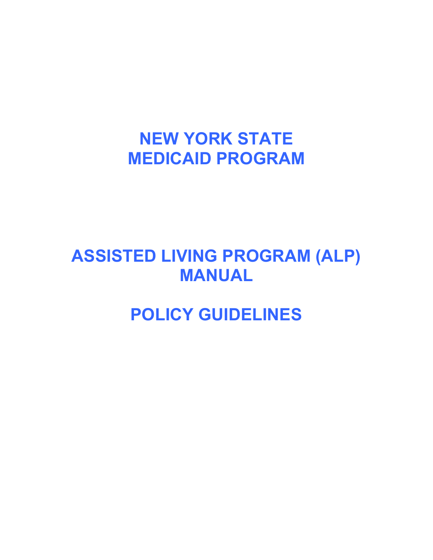# **NEW YORK STATE MEDICAID PROGRAM**

# **ASSISTED LIVING PROGRAM (ALP) MANUAL**

# **POLICY GUIDELINES**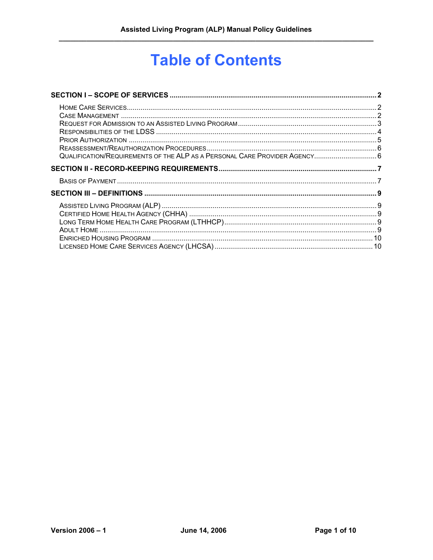# **Table of Contents**

| QUALIFICATION/REQUIREMENTS OF THE ALP AS A PERSONAL CARE PROVIDER AGENCY 6 |  |
|----------------------------------------------------------------------------|--|
|                                                                            |  |
|                                                                            |  |
|                                                                            |  |
|                                                                            |  |
|                                                                            |  |
|                                                                            |  |
|                                                                            |  |
|                                                                            |  |
|                                                                            |  |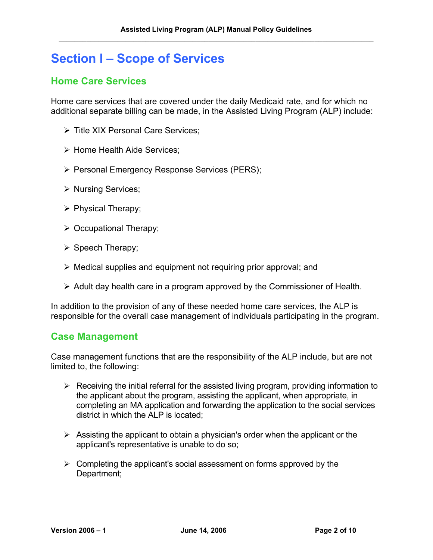## <span id="page-2-0"></span>**Section I – Scope of Services**

### <span id="page-2-1"></span>**Home Care Services**

Home care services that are covered under the daily Medicaid rate, and for which no additional separate billing can be made, in the Assisted Living Program (ALP) include:

- ¾ Title XIX Personal Care Services;
- ¾ Home Health Aide Services;
- ¾ Personal Emergency Response Services (PERS);
- ¾ Nursing Services;
- $\triangleright$  Physical Therapy;
- $\triangleright$  Occupational Therapy;
- $\triangleright$  Speech Therapy;
- $\triangleright$  Medical supplies and equipment not requiring prior approval; and
- $\triangleright$  Adult day health care in a program approved by the Commissioner of Health.

In addition to the provision of any of these needed home care services, the ALP is responsible for the overall case management of individuals participating in the program.

#### <span id="page-2-2"></span>**Case Management**

Case management functions that are the responsibility of the ALP include, but are not limited to, the following:

- $\triangleright$  Receiving the initial referral for the assisted living program, providing information to the applicant about the program, assisting the applicant, when appropriate, in completing an MA application and forwarding the application to the social services district in which the ALP is located;
- $\triangleright$  Assisting the applicant to obtain a physician's order when the applicant or the applicant's representative is unable to do so;
- $\triangleright$  Completing the applicant's social assessment on forms approved by the Department;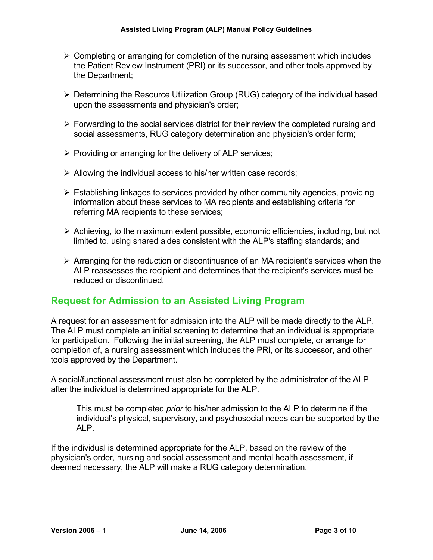- $\triangleright$  Completing or arranging for completion of the nursing assessment which includes the Patient Review Instrument (PRI) or its successor, and other tools approved by the Department;
- ¾ Determining the Resource Utilization Group (RUG) category of the individual based upon the assessments and physician's order;
- $\triangleright$  Forwarding to the social services district for their review the completed nursing and social assessments, RUG category determination and physician's order form;
- $\triangleright$  Providing or arranging for the delivery of ALP services;
- $\triangleright$  Allowing the individual access to his/her written case records;
- $\triangleright$  Establishing linkages to services provided by other community agencies, providing information about these services to MA recipients and establishing criteria for referring MA recipients to these services;
- $\triangleright$  Achieving, to the maximum extent possible, economic efficiencies, including, but not limited to, using shared aides consistent with the ALP's staffing standards; and
- $\triangleright$  Arranging for the reduction or discontinuance of an MA recipient's services when the ALP reassesses the recipient and determines that the recipient's services must be reduced or discontinued.

### <span id="page-3-0"></span>**Request for Admission to an Assisted Living Program**

A request for an assessment for admission into the ALP will be made directly to the ALP. The ALP must complete an initial screening to determine that an individual is appropriate for participation. Following the initial screening, the ALP must complete, or arrange for completion of, a nursing assessment which includes the PRI, or its successor, and other tools approved by the Department.

A social/functional assessment must also be completed by the administrator of the ALP after the individual is determined appropriate for the ALP.

This must be completed *prior* to his/her admission to the ALP to determine if the individual's physical, supervisory, and psychosocial needs can be supported by the ALP.

If the individual is determined appropriate for the ALP, based on the review of the physician's order, nursing and social assessment and mental health assessment, if deemed necessary, the ALP will make a RUG category determination.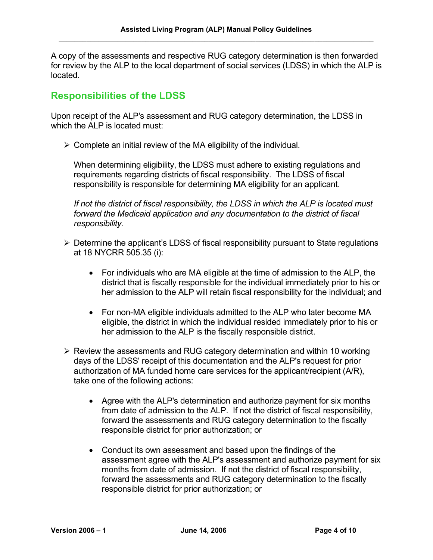A copy of the assessments and respective RUG category determination is then forwarded for review by the ALP to the local department of social services (LDSS) in which the ALP is located.

#### <span id="page-4-0"></span>**Responsibilities of the LDSS**

Upon receipt of the ALP's assessment and RUG category determination, the LDSS in which the ALP is located must:

 $\triangleright$  Complete an initial review of the MA eligibility of the individual.

When determining eligibility, the LDSS must adhere to existing regulations and requirements regarding districts of fiscal responsibility. The LDSS of fiscal responsibility is responsible for determining MA eligibility for an applicant.

*If not the district of fiscal responsibility, the LDSS in which the ALP is located must forward the Medicaid application and any documentation to the district of fiscal responsibility.* 

- $\triangleright$  Determine the applicant's LDSS of fiscal responsibility pursuant to State regulations at 18 NYCRR 505.35 (i):
	- For individuals who are MA eligible at the time of admission to the ALP, the district that is fiscally responsible for the individual immediately prior to his or her admission to the ALP will retain fiscal responsibility for the individual; and
	- For non-MA eligible individuals admitted to the ALP who later become MA eligible, the district in which the individual resided immediately prior to his or her admission to the ALP is the fiscally responsible district.
- $\triangleright$  Review the assessments and RUG category determination and within 10 working days of the LDSS' receipt of this documentation and the ALP's request for prior authorization of MA funded home care services for the applicant/recipient (A/R), take one of the following actions:
	- Agree with the ALP's determination and authorize payment for six months from date of admission to the ALP. If not the district of fiscal responsibility, forward the assessments and RUG category determination to the fiscally responsible district for prior authorization; or
	- Conduct its own assessment and based upon the findings of the assessment agree with the ALP's assessment and authorize payment for six months from date of admission. If not the district of fiscal responsibility, forward the assessments and RUG category determination to the fiscally responsible district for prior authorization; or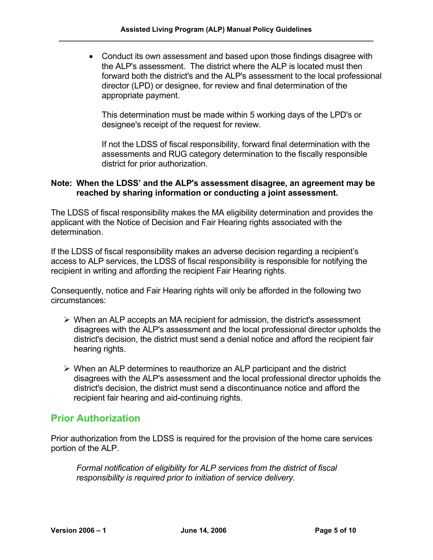• Conduct its own assessment and based upon those findings disagree with the ALP's assessment. The district where the ALP is located must then forward both the district's and the ALP's assessment to the local professional director (LPD) or designee, for review and final determination of the appropriate payment.

This determination must be made within 5 working days of the LPD's or designee's receipt of the request for review.

If not the LDSS of fiscal responsibility, forward final determination with the assessments and RUG category determination to the fiscally responsible district for prior authorization.

#### **Note: When the LDSS' and the ALP's assessment disagree, an agreement may be reached by sharing information or conducting a joint assessment.**

The LDSS of fiscal responsibility makes the MA eligibility determination and provides the applicant with the Notice of Decision and Fair Hearing rights associated with the determination.

If the LDSS of fiscal responsibility makes an adverse decision regarding a recipient's access to ALP services, the LDSS of fiscal responsibility is responsible for notifying the recipient in writing and affording the recipient Fair Hearing rights.

Consequently, notice and Fair Hearing rights will only be afforded in the following two circumstances:

- $\triangleright$  When an ALP accepts an MA recipient for admission, the district's assessment disagrees with the ALP's assessment and the local professional director upholds the district's decision, the district must send a denial notice and afford the recipient fair hearing rights.
- $\triangleright$  When an ALP determines to reauthorize an ALP participant and the district disagrees with the ALP's assessment and the local professional director upholds the district's decision, the district must send a discontinuance notice and afford the recipient fair hearing and aid-continuing rights.

#### <span id="page-5-0"></span>**Prior Authorization**

Prior authorization from the LDSS is required for the provision of the home care services portion of the ALP.

*Formal notification of eligibility for ALP services from the district of fiscal responsibility is required prior to initiation of service delivery.*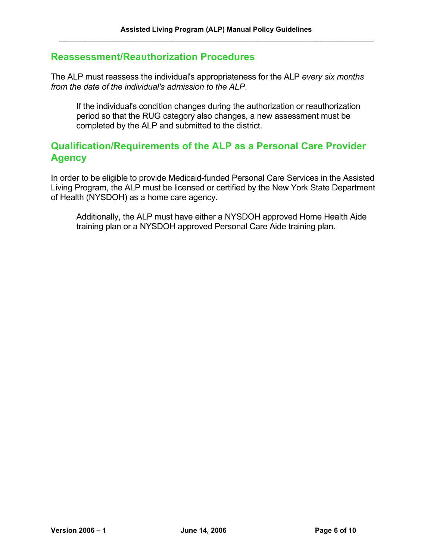#### <span id="page-6-0"></span>**Reassessment/Reauthorization Procedures**

The ALP must reassess the individual's appropriateness for the ALP *every six months from the date of the individual's admission to the ALP*.

If the individual's condition changes during the authorization or reauthorization period so that the RUG category also changes, a new assessment must be completed by the ALP and submitted to the district.

#### <span id="page-6-1"></span>**Qualification/Requirements of the ALP as a Personal Care Provider Agency**

In order to be eligible to provide Medicaid-funded Personal Care Services in the Assisted Living Program, the ALP must be licensed or certified by the New York State Department of Health (NYSDOH) as a home care agency.

Additionally, the ALP must have either a NYSDOH approved Home Health Aide training plan or a NYSDOH approved Personal Care Aide training plan.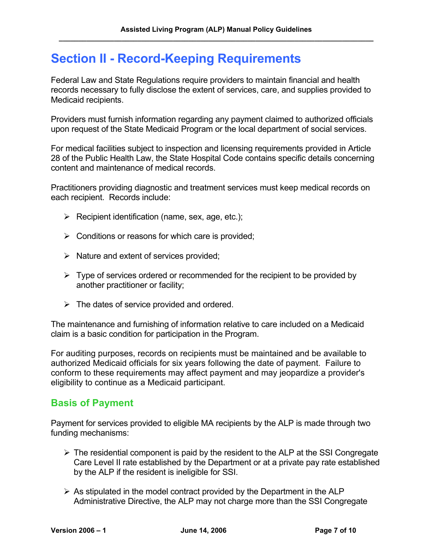## <span id="page-7-0"></span>**Section II - Record-Keeping Requirements**

Federal Law and State Regulations require providers to maintain financial and health records necessary to fully disclose the extent of services, care, and supplies provided to Medicaid recipients.

Providers must furnish information regarding any payment claimed to authorized officials upon request of the State Medicaid Program or the local department of social services.

For medical facilities subject to inspection and licensing requirements provided in Article 28 of the Public Health Law, the State Hospital Code contains specific details concerning content and maintenance of medical records.

Practitioners providing diagnostic and treatment services must keep medical records on each recipient. Records include:

- $\triangleright$  Recipient identification (name, sex, age, etc.);
- $\triangleright$  Conditions or reasons for which care is provided;
- $\triangleright$  Nature and extent of services provided;
- $\triangleright$  Type of services ordered or recommended for the recipient to be provided by another practitioner or facility;
- $\triangleright$  The dates of service provided and ordered.

The maintenance and furnishing of information relative to care included on a Medicaid claim is a basic condition for participation in the Program.

For auditing purposes, records on recipients must be maintained and be available to authorized Medicaid officials for six years following the date of payment. Failure to conform to these requirements may affect payment and may jeopardize a provider's eligibility to continue as a Medicaid participant.

### <span id="page-7-1"></span>**Basis of Payment**

Payment for services provided to eligible MA recipients by the ALP is made through two funding mechanisms:

- $\triangleright$  The residential component is paid by the resident to the ALP at the SSI Congregate Care Level II rate established by the Department or at a private pay rate established by the ALP if the resident is ineligible for SSI.
- $\triangleright$  As stipulated in the model contract provided by the Department in the ALP Administrative Directive, the ALP may not charge more than the SSI Congregate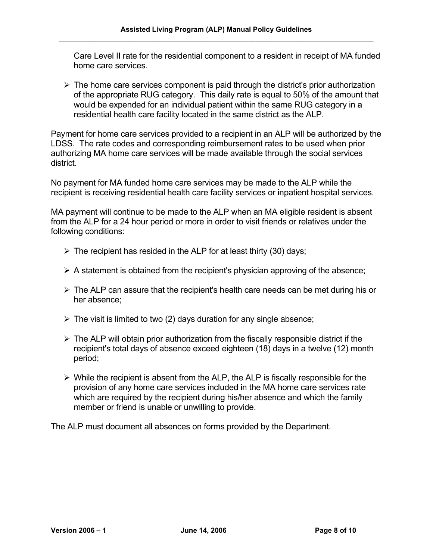Care Level II rate for the residential component to a resident in receipt of MA funded home care services.

 $\triangleright$  The home care services component is paid through the district's prior authorization of the appropriate RUG category. This daily rate is equal to 50% of the amount that would be expended for an individual patient within the same RUG category in a residential health care facility located in the same district as the ALP.

Payment for home care services provided to a recipient in an ALP will be authorized by the LDSS. The rate codes and corresponding reimbursement rates to be used when prior authorizing MA home care services will be made available through the social services district.

No payment for MA funded home care services may be made to the ALP while the recipient is receiving residential health care facility services or inpatient hospital services.

MA payment will continue to be made to the ALP when an MA eligible resident is absent from the ALP for a 24 hour period or more in order to visit friends or relatives under the following conditions:

- $\triangleright$  The recipient has resided in the ALP for at least thirty (30) days;
- $\triangleright$  A statement is obtained from the recipient's physician approving of the absence;
- $\triangleright$  The ALP can assure that the recipient's health care needs can be met during his or her absence;
- $\triangleright$  The visit is limited to two (2) days duration for any single absence;
- $\triangleright$  The ALP will obtain prior authorization from the fiscally responsible district if the recipient's total days of absence exceed eighteen (18) days in a twelve (12) month period;
- $\triangleright$  While the recipient is absent from the ALP, the ALP is fiscally responsible for the provision of any home care services included in the MA home care services rate which are required by the recipient during his/her absence and which the family member or friend is unable or unwilling to provide.

The ALP must document all absences on forms provided by the Department.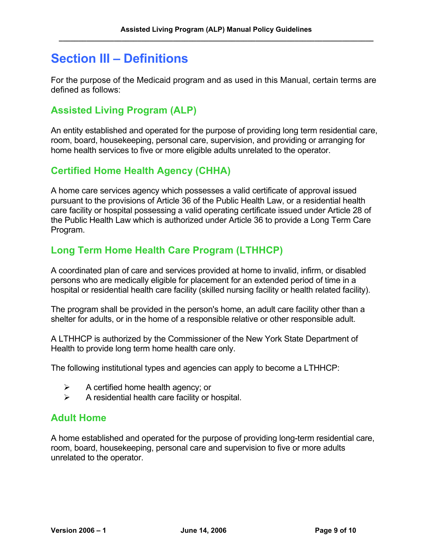## <span id="page-9-0"></span>**Section III – Definitions**

For the purpose of the Medicaid program and as used in this Manual, certain terms are defined as follows:

### <span id="page-9-1"></span>**Assisted Living Program (ALP)**

An entity established and operated for the purpose of providing long term residential care, room, board, housekeeping, personal care, supervision, and providing or arranging for home health services to five or more eligible adults unrelated to the operator.

### <span id="page-9-2"></span>**Certified Home Health Agency (CHHA)**

A home care services agency which possesses a valid certificate of approval issued pursuant to the provisions of Article 36 of the Public Health Law, or a residential health care facility or hospital possessing a valid operating certificate issued under Article 28 of the Public Health Law which is authorized under Article 36 to provide a Long Term Care Program.

### <span id="page-9-3"></span>**Long Term Home Health Care Program (LTHHCP)**

A coordinated plan of care and services provided at home to invalid, infirm, or disabled persons who are medically eligible for placement for an extended period of time in a hospital or residential health care facility (skilled nursing facility or health related facility).

The program shall be provided in the person's home, an adult care facility other than a shelter for adults, or in the home of a responsible relative or other responsible adult.

A LTHHCP is authorized by the Commissioner of the New York State Department of Health to provide long term home health care only.

The following institutional types and agencies can apply to become a LTHHCP:

- $\triangleright$  A certified home health agency; or
- $\triangleright$  A residential health care facility or hospital.

#### <span id="page-9-4"></span>**Adult Home**

A home established and operated for the purpose of providing long-term residential care, room, board, housekeeping, personal care and supervision to five or more adults unrelated to the operator.